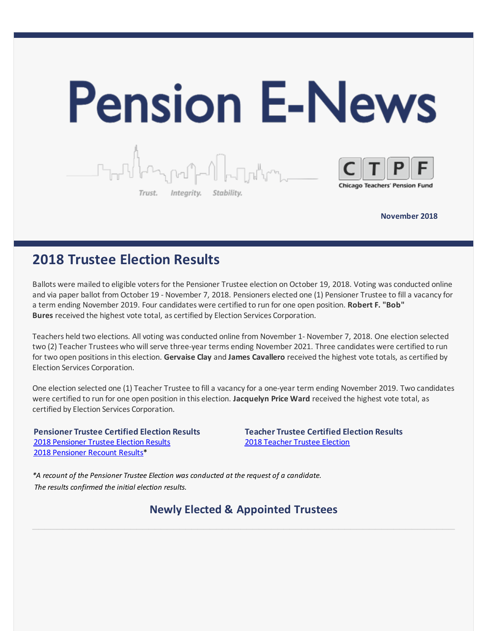

**November 2018**

# **2018 Trustee Election Results**

Ballots were mailed to eligible votersfor the Pensioner Trustee election on October 19, 2018. Voting was conducted online and via paper ballot from October 19 - November 7, 2018. Pensioners elected one (1) Pensioner Trustee to fill a vacancy for a term ending November 2019. Four candidates were certified to run for one open position. **Robert F. "Bob" Bures** received the highest vote total, as certified by Election Services Corporation.

Teachers held two elections. All voting was conducted online from November 1- November 7, 2018. One election selected two (2) Teacher Trustees who will serve three-year terms ending November 2021. Three candidates were certified to run for two open positionsin this election. **Gervaise Clay** and **James Cavallero** received the highest vote totals, as certified by Election Services Corporation.

One election selected one (1) Teacher Trustee to fill a vacancy for a one-year term ending November 2019. Two candidates were certified to run for one open position in this election. **Jacquelyn Price Ward** received the highest vote total, as certified by Election Services Corporation.

**Pensioner Trustee Certified Election Results** 2018 [Pensioner](http://files.constantcontact.com/7826d993101/4c078385-c388-4078-a1f7-2ab065fe2ce5.pdf) Trustee Election Results 2018 [Pensioner](http://files.constantcontact.com/7826d993101/1fbf6cbf-2632-4656-ad87-376ff83694af.pdf) Recount Results\*

**Teacher Trustee Certified Election Results** 2018 [Teacher](http://files.constantcontact.com/7826d993101/9d9aa832-56f8-46bd-8548-8d2f9e63d417.pdf) Trustee Election

*\*A recount of the Pensioner Trustee Election was conducted at the request of a candidate. The results confirmed the initial election results.*

**Newly Elected & Appointed Trustees**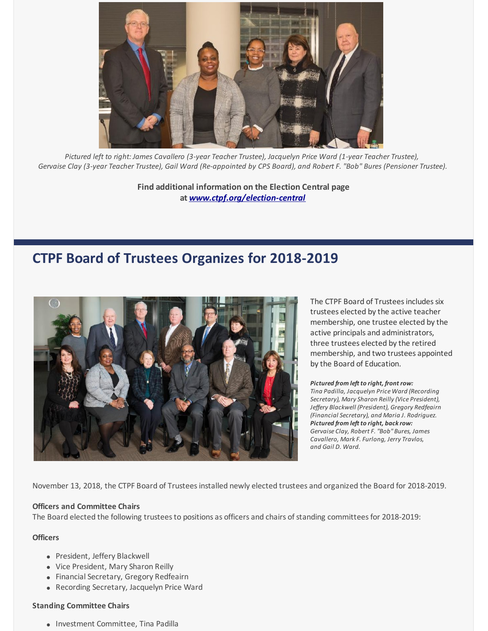

*Pictured left to right: James Cavallero (3-year Teacher Trustee), Jacquelyn Price Ward (1-year Teacher Trustee),* Gervaise Clay (3-year Teacher Trustee), Gail Ward (Re-appointed by CPS Board), and Robert F. "Bob" Bures (Pensioner Trustee).

**Find additional information on the Election Central page at** *[www.ctpf.org/election-central](http://www.ctpf.org/election-central)*

# **CTPF Board of Trustees Organizes for 2018-2019**



The CTPF Board of Trustees includes six trustees elected by the active teacher membership, one trustee elected by the active principals and administrators, three trustees elected by the retired membership, and two trustees appointed by the Board of Education.

*Pictured from left to right, front row: Tina Padilla, Jacquelyn Price Ward (Recording Secretary), Mary Sharon Reilly (Vice President), Jeffery Blackwell (President), Gregory Redfeairn (Financial Secretary), and Maria J. Rodriguez. Pictured from left to right, back row: Gervaise Clay, Robert F. "Bob" Bures, James Cavallero, Mark F. Furlong, Jerry Travlos, and Gail D. Ward.*

November 13, 2018, the CTPF Board of Trusteesinstalled newly elected trustees and organized the Board for 2018-2019.

#### **Officers and Committee Chairs**

The Board elected the following trustees to positions as officers and chairs of standing committees for 2018-2019:

#### **Officers**

- President, Jeffery Blackwell
- Vice President, Mary Sharon Reilly
- Financial Secretary, Gregory Redfeairn
- Recording Secretary, Jacquelyn Price Ward

#### **Standing Committee Chairs**

• Investment Committee, Tina Padilla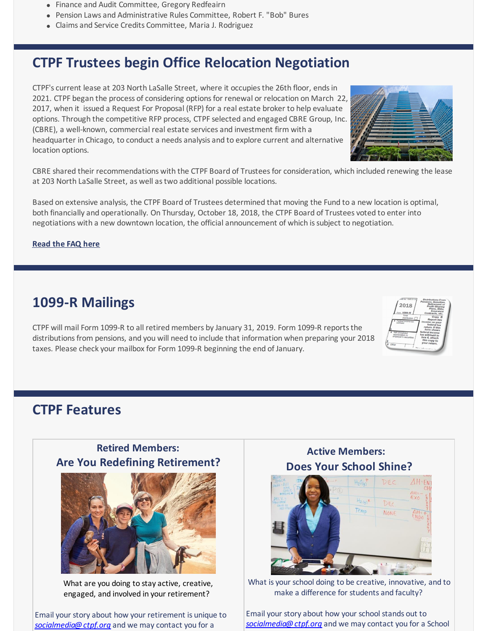- Finance and Audit Committee, Gregory Redfeairn
- Pension Laws and Administrative Rules Committee, Robert F. "Bob" Bures
- Claims and Service Credits Committee, Maria J. Rodriguez

# **CTPF Trustees begin Office Relocation Negotiation**

CTPF's current lease at 203 North LaSalle Street, where it occupiesthe 26th floor, endsin 2021. CTPF began the process of considering optionsfor renewal or relocation on March 22, 2017, when it issued a Request For Proposal (RFP) for a real estate broker to help evaluate options. Through the competitive RFP process, CTPF selected and engaged CBRE Group, Inc. (CBRE), a well-known, commercial real estate services and investment firm with a headquarter in Chicago, to conduct a needs analysis and to explore current and alternative location options.



CBRE shared their recommendations with the CTPF Board of Trustees for consideration, which included renewing the lease at 203 North LaSalle Street, as well astwo additional possible locations.

Based on extensive analysis, the CTPF Board of Trustees determined that moving the Fund to a new location is optimal, both financially and operationally. On Thursday, October 18, 2018, the CTPF Board of Trustees voted to enter into negotiations with a new downtown location, the official announcement of which issubject to negotiation.

#### **[Read](https://www.ctpf.org/news/ctpf-trustees-begin-office-relocation-negotiation) the FAQ here**

# **1099-R Mailings**

CTPF will mail Form 1099-R to all retired members by January 31, 2019. Form 1099-R reportsthe distributions from pensions, and you will need to include that information when preparing your 2018 taxes. Please check your mailbox for Form 1099-R beginning the end of January.



## **CTPF Features**

### **Retired Members: Are You Redefining Retirement?**



What are you doing to stay active, creative, engaged, and involved in your retirement?

Email your story about how your retirement is unique to *[socialmedia@ctpf.org](mailto:socialmedia@ctpf.org)* and we may contact you for a

## **Active Members: Does Your School Shine?**



What is your school doing to be creative, innovative, and to make a difference for students and faculty?

Email your story about how your school stands out to *[socialmedia@ctpf.org](mailto:socialmedia@ctpf.org)* and we may contact you for a School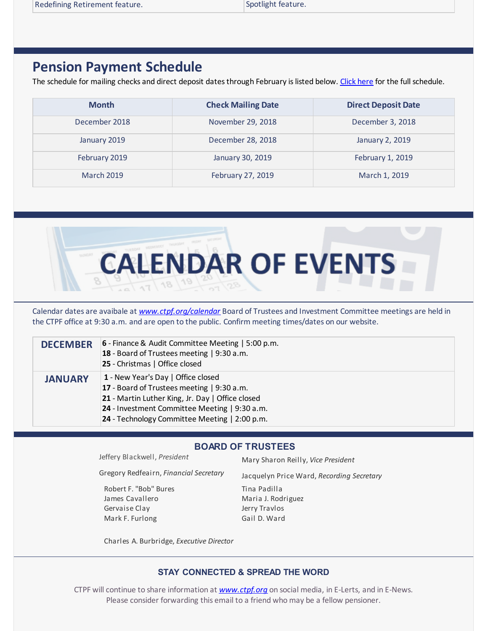Spotlight feature.

# **Pension Payment Schedule**

The schedule for mailing checks and direct deposit dates through February is listed below. [Click](https://www.ctpf.org/pension-payments) here for the full schedule.

| <b>Month</b>      | <b>Check Mailing Date</b> | <b>Direct Deposit Date</b> |
|-------------------|---------------------------|----------------------------|
| December 2018     | November 29, 2018         | December 3, 2018           |
| January 2019      | December 28, 2018         | January 2, 2019            |
| February 2019     | January 30, 2019          | February 1, 2019           |
| <b>March 2019</b> | February 27, 2019         | March 1, 2019              |



Calendar dates are avaibale at *[www.ctpf.org/calendar](http://www.ctpf.org/calendar)* Board of Trustees and Investment Committee meetings are held in the CTPF office at 9:30 a.m. and are open to the public. Confirm meeting times/dates on our website.

| <b>DECEMBER</b> | 6 - Finance & Audit Committee Meeting   5:00 p.m.<br>18 - Board of Trustees meeting   9:30 a.m.<br>25 - Christmas   Office closed                                                                                                      |
|-----------------|----------------------------------------------------------------------------------------------------------------------------------------------------------------------------------------------------------------------------------------|
| <b>JANUARY</b>  | 1 - New Year's Day   Office closed<br>17 - Board of Trustees meeting   9:30 a.m.<br>21 - Martin Luther King, Jr. Day   Office closed<br>24 - Investment Committee Meeting   9:30 a.m.<br>24 - Technology Committee Meeting   2:00 p.m. |

#### **BOARD OF TRUSTEES**

Gregory Redfeairn, *Financial Secretary*

Robert F. "Bob" Bures James Cavallero Gervaise Clay Mark F. Furlong

Jeffery Blackwell, *President* Mary Sharon Reilly, *Vice President*

Jacquelyn Price Ward, *Recording Secretary*

Tina Padilla Maria J. Rodriguez Jerry Travlos Gail D. Ward

Charles A. Burbridge, *Executive Director*

### **STAY CONNECTED & SPREAD THE WORD**

CTPF will continue to share information at *[www.ctpf.org](https://www.ctpf.org/)* on social media, in E-Lerts, and in E-News. Please consider forwarding this email to a friend who may be a fellow pensioner.